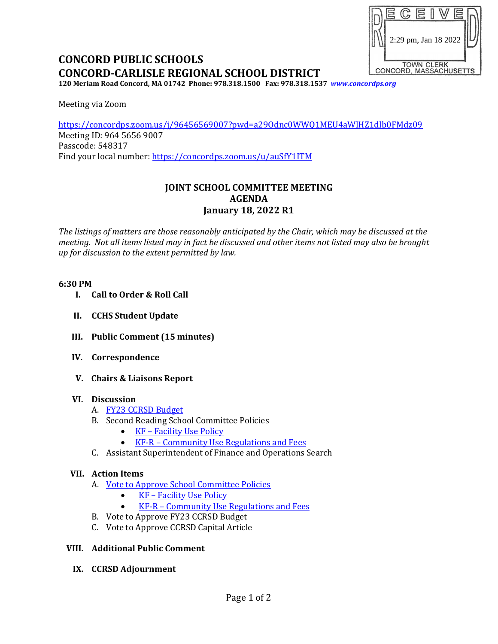# 2:29 pm, Jan 18 2022TOWN CLERK<br>CONCORD, MASSACHUSETTS

# **CONCORD PUBLIC SCHOOLS CONCORD-CARLISLE REGIONAL SCHOOL DISTRICT**

**120 Meriam Road Concord, MA 01742 Phone: 978.318.1500 Fax: 978.318.1537** *[www.concordps.org](http://www.concordps.org/)*

Meeting via Zoom

<https://concordps.zoom.us/j/96456569007?pwd=a29Odnc0WWQ1MEU4aWlHZ1dlb0FMdz09> Meeting ID: 964 5656 9007 Passcode: 548317 Find your local number:<https://concordps.zoom.us/u/auSfY1ITM>

# **JOINT SCHOOL COMMITTEE MEETING AGENDA January 18, 2022 R1**

*The listings of matters are those reasonably anticipated by the Chair, which may be discussed at the meeting. Not all items listed may in fact be discussed and other items not listed may also be brought up for discussion to the extent permitted by law.*

#### **6:30 PM**

- **I. Call to Order & Roll Call**
- **II. CCHS Student Update**
- **III. Public Comment (15 minutes)**
- **IV. Correspondence**
- **V. Chairs & Liaisons Report**

## **VI. Discussion**

- A. [FY23 CCRSD Budget](https://www.concordps.org/wp-content/uploads/2022/01/CCRSD-Budget.pdf)
- B. Second Reading School Committee Policies
	- KF [Facility Use Policy](https://www.concordps.org/wp-content/uploads/2022/01/KF-Facility-Use-Policy.pdf)
	- KF-R [Community Use Regulations and Fees](https://www.concordps.org/wp-content/uploads/2022/01/KF-R-Community-Use-Regulations-and-Fees.pdf)
- C. Assistant Superintendent of Finance and Operations Search

## **VII. Action Items**

- A. [Vote to Approve School Committee Policies](https://www.concordps.org/wp-content/uploads/2022/01/Motion-policies-KF-and-KF-R.pdf)
	- KF [Facility Use Policy](https://www.concordps.org/wp-content/uploads/2022/01/KF-Facility-Use-Policy.pdf)
	- KF-R [Community Use Regulations and Fees](https://www.concordps.org/wp-content/uploads/2022/01/KF-R-Community-Use-Regulations-and-Fees.pdf)
- B. Vote to Approve FY23 CCRSD Budget
- C. Vote to Approve CCRSD Capital Article

#### **VIII. Additional Public Comment**

 **IX. CCRSD Adjournment**